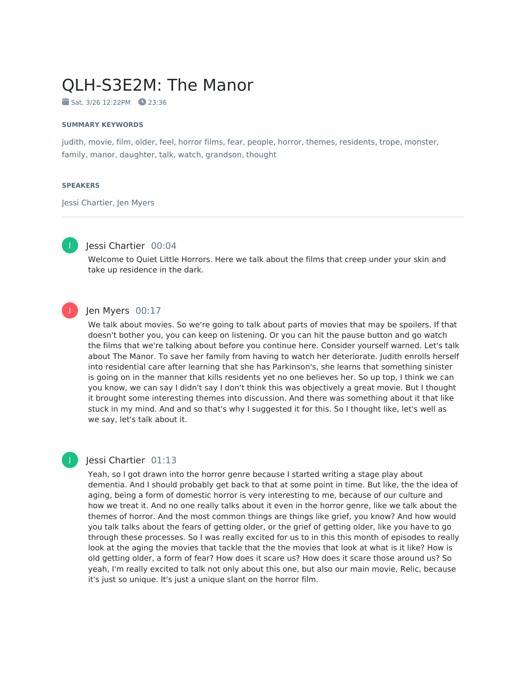# QLH-S3E2M: The Manor

 $Sat. 3/26 12:22PM$  23:36

#### **SUMMARY KEYWORDS**

judith, movie, film, older, feel, horror films, fear, people, horror, themes, residents, trope, monster, family, manor, daughter, talk, watch, grandson, thought

#### **SPEAKERS**

Jessi Chartier, Jen Myers



# Jessi Chartier 00:04

Welcome to Quiet Little Horrors. Here we talk about the films that creep under your skin and take up residence in the dark.

# J

# Jen Myers 00:17

We talk about movies. So we're going to talk about parts of movies that may be spoilers. If that doesn't bother you, you can keep on listening. Or you can hit the pause button and go watch the films that we're talking about before you continue here. Consider yourself warned. Let's talk about The Manor. To save her family from having to watch her deteriorate. Judith enrolls herself into residential care after learning that she has Parkinson's, she learns that something sinister is going on in the manner that kills residents yet no one believes her. So up top, I think we can you know, we can say I didn't say I don't think this was objectively a great movie. But I thought it brought some interesting themes into discussion. And there was something about it that like stuck in my mind. And and so that's why I suggested it for this. So I thought like, let's well as we say, let's talk about it.

#### Jessi Chartier 01:13

Yeah, so I got drawn into the horror genre because I started writing a stage play about dementia. And I should probably get back to that at some point in time. But like, the the idea of aging, being a form of domestic horror is very interesting to me, because of our culture and how we treat it. And no one really talks about it even in the horror genre, like we talk about the themes of horror. And the most common things are things like grief, you know? And how would you talk talks about the fears of getting older, or the grief of getting older, like you have to go through these processes. So I was really excited for us to in this this month of episodes to really look at the aging the movies that tackle that the the movies that look at what is it like? How is old getting older, a form of fear? How does it scare us? How does it scare those around us? So yeah, I'm really excited to talk not only about this one, but also our main movie, Relic, because it's just so unique. It's just a unique slant on the horror film.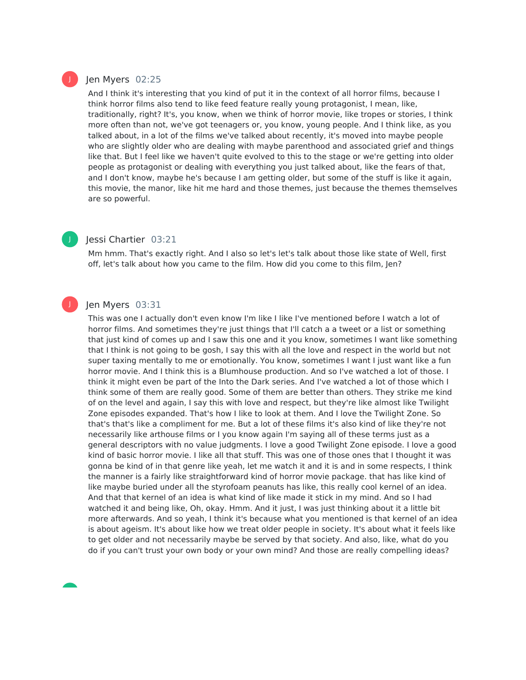# Jen Myers 02:25

And I think it's interesting that you kind of put it in the context of all horror films, because I think horror films also tend to like feed feature really young protagonist, I mean, like, traditionally, right? It's, you know, when we think of horror movie, like tropes or stories, I think more often than not, we've got teenagers or, you know, young people. And I think like, as you talked about, in a lot of the films we've talked about recently, it's moved into maybe people who are slightly older who are dealing with maybe parenthood and associated grief and things like that. But I feel like we haven't quite evolved to this to the stage or we're getting into older people as protagonist or dealing with everything you just talked about, like the fears of that, and I don't know, maybe he's because I am getting older, but some of the stuff is like it again, this movie, the manor, like hit me hard and those themes, just because the themes themselves are so powerful.

### Jessi Chartier 03:21

Mm hmm. That's exactly right. And I also so let's let's talk about those like state of Well, first off, let's talk about how you came to the film. How did you come to this film, Jen?

### Jen Myers 03:31

This was one I actually don't even know I'm like I like I've mentioned before I watch a lot of horror films. And sometimes they're just things that I'll catch a a tweet or a list or something that just kind of comes up and I saw this one and it you know, sometimes I want like something that I think is not going to be gosh, I say this with all the love and respect in the world but not super taxing mentally to me or emotionally. You know, sometimes I want I just want like a fun horror movie. And I think this is a Blumhouse production. And so I've watched a lot of those. I think it might even be part of the Into the Dark series. And I've watched a lot of those which I think some of them are really good. Some of them are better than others. They strike me kind of on the level and again, I say this with love and respect, but they're like almost like Twilight Zone episodes expanded. That's how I like to look at them. And I love the Twilight Zone. So that's that's like a compliment for me. But a lot of these films it's also kind of like they're not necessarily like arthouse films or I you know again I'm saying all of these terms just as a general descriptors with no value judgments. I love a good Twilight Zone episode. I love a good kind of basic horror movie. I like all that stuff. This was one of those ones that I thought it was gonna be kind of in that genre like yeah, let me watch it and it is and in some respects, I think the manner is a fairly like straightforward kind of horror movie package. that has like kind of like maybe buried under all the styrofoam peanuts has like, this really cool kernel of an idea. And that that kernel of an idea is what kind of like made it stick in my mind. And so I had watched it and being like, Oh, okay. Hmm. And it just, I was just thinking about it a little bit more afterwards. And so yeah, I think it's because what you mentioned is that kernel of an idea is about ageism. It's about like how we treat older people in society. It's about what it feels like to get older and not necessarily maybe be served by that society. And also, like, what do you do if you can't trust your own body or your own mind? And those are really compelling ideas?



J

J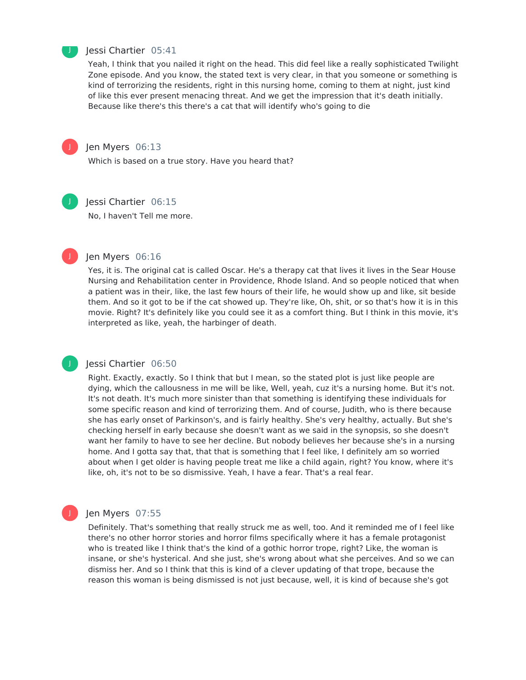

#### Jessi Chartier 05:41

Yeah, I think that you nailed it right on the head. This did feel like a really sophisticated Twilight Zone episode. And you know, the stated text is very clear, in that you someone or something is kind of terrorizing the residents, right in this nursing home, coming to them at night, just kind of like this ever present menacing threat. And we get the impression that it's death initially. Because like there's this there's a cat that will identify who's going to die



# Jen Myers 06:13

Which is based on a true story. Have you heard that?



#### Jessi Chartier 06:15

No, I haven't Tell me more.



J

#### Jen Myers 06:16

Yes, it is. The original cat is called Oscar. He's a therapy cat that lives it lives in the Sear House Nursing and Rehabilitation center in Providence, Rhode Island. And so people noticed that when a patient was in their, like, the last few hours of their life, he would show up and like, sit beside them. And so it got to be if the cat showed up. They're like, Oh, shit, or so that's how it is in this movie. Right? It's definitely like you could see it as a comfort thing. But I think in this movie, it's interpreted as like, yeah, the harbinger of death.

# Jessi Chartier 06:50

Right. Exactly, exactly. So I think that but I mean, so the stated plot is just like people are dying, which the callousness in me will be like, Well, yeah, cuz it's a nursing home. But it's not. It's not death. It's much more sinister than that something is identifying these individuals for some specific reason and kind of terrorizing them. And of course, Judith, who is there because she has early onset of Parkinson's, and is fairly healthy. She's very healthy, actually. But she's checking herself in early because she doesn't want as we said in the synopsis, so she doesn't want her family to have to see her decline. But nobody believes her because she's in a nursing home. And I gotta say that, that that is something that I feel like, I definitely am so worried about when I get older is having people treat me like a child again, right? You know, where it's like, oh, it's not to be so dismissive. Yeah, I have a fear. That's a real fear.

#### Jen Myers 07:55

Definitely. That's something that really struck me as well, too. And it reminded me of I feel like there's no other horror stories and horror films specifically where it has a female protagonist who is treated like I think that's the kind of a gothic horror trope, right? Like, the woman is insane, or she's hysterical. And she just, she's wrong about what she perceives. And so we can dismiss her. And so I think that this is kind of a clever updating of that trope, because the reason this woman is being dismissed is not just because, well, it is kind of because she's got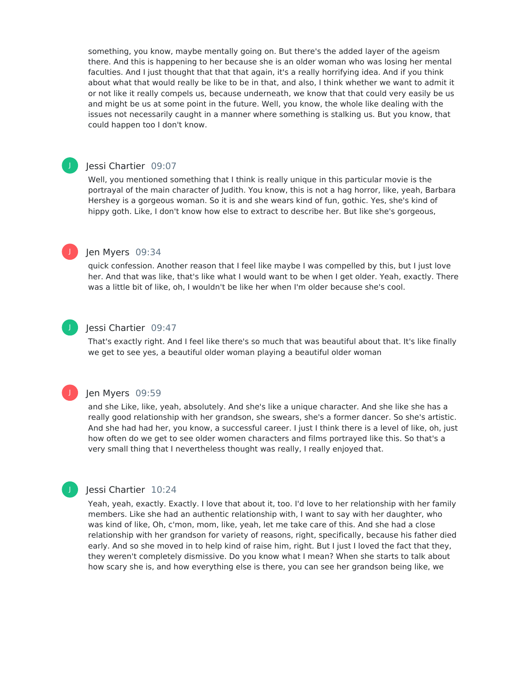something, you know, maybe mentally going on. But there's the added layer of the ageism there. And this is happening to her because she is an older woman who was losing her mental faculties. And I just thought that that that again, it's a really horrifying idea. And if you think about what that would really be like to be in that, and also, I think whether we want to admit it or not like it really compels us, because underneath, we know that that could very easily be us and might be us at some point in the future. Well, you know, the whole like dealing with the issues not necessarily caught in a manner where something is stalking us. But you know, that could happen too I don't know.

#### Jessi Chartier 09:07

Well, you mentioned something that I think is really unique in this particular movie is the portrayal of the main character of Judith. You know, this is not a hag horror, like, yeah, Barbara Hershey is a gorgeous woman. So it is and she wears kind of fun, gothic. Yes, she's kind of hippy goth. Like, I don't know how else to extract to describe her. But like she's gorgeous,

#### Jen Myers 09:34

J

J

J

J

quick confession. Another reason that I feel like maybe I was compelled by this, but I just love her. And that was like, that's like what I would want to be when I get older. Yeah, exactly. There was a little bit of like, oh, I wouldn't be like her when I'm older because she's cool.

#### Jessi Chartier 09:47

That's exactly right. And I feel like there's so much that was beautiful about that. It's like finally we get to see yes, a beautiful older woman playing a beautiful older woman

#### Jen Myers 09:59

and she Like, like, yeah, absolutely. And she's like a unique character. And she like she has a really good relationship with her grandson, she swears, she's a former dancer. So she's artistic. And she had had her, you know, a successful career. I just I think there is a level of like, oh, just how often do we get to see older women characters and films portrayed like this. So that's a very small thing that I nevertheless thought was really, I really enjoyed that.

# Jessi Chartier 10:24

Yeah, yeah, exactly. Exactly. I love that about it, too. I'd love to her relationship with her family members. Like she had an authentic relationship with, I want to say with her daughter, who was kind of like, Oh, c'mon, mom, like, yeah, let me take care of this. And she had a close relationship with her grandson for variety of reasons, right, specifically, because his father died early. And so she moved in to help kind of raise him, right. But I just I loved the fact that they, they weren't completely dismissive. Do you know what I mean? When she starts to talk about how scary she is, and how everything else is there, you can see her grandson being like, we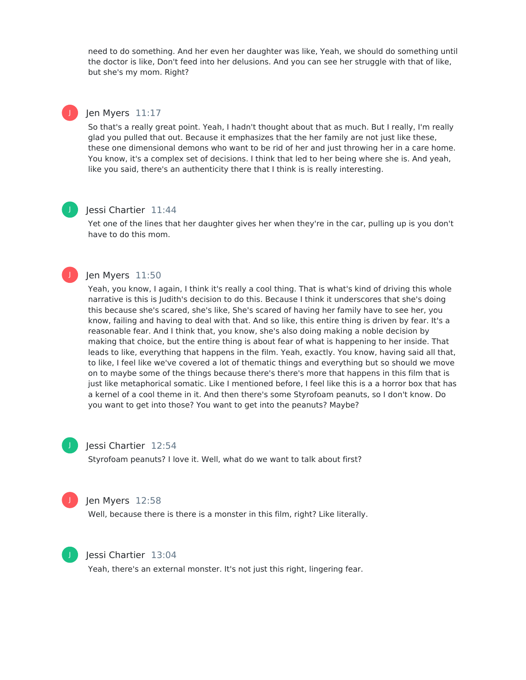need to do something. And her even her daughter was like, Yeah, we should do something until the doctor is like, Don't feed into her delusions. And you can see her struggle with that of like, but she's my mom. Right?

# Jen Myers 11:17

J

J

J

So that's a really great point. Yeah, I hadn't thought about that as much. But I really, I'm really glad you pulled that out. Because it emphasizes that the her family are not just like these, these one dimensional demons who want to be rid of her and just throwing her in a care home. You know, it's a complex set of decisions. I think that led to her being where she is. And yeah, like you said, there's an authenticity there that I think is is really interesting.

# Jessi Chartier 11:44

Yet one of the lines that her daughter gives her when they're in the car, pulling up is you don't have to do this mom.

# Jen Myers 11:50

Yeah, you know, I again, I think it's really a cool thing. That is what's kind of driving this whole narrative is this is Judith's decision to do this. Because I think it underscores that she's doing this because she's scared, she's like, She's scared of having her family have to see her, you know, failing and having to deal with that. And so like, this entire thing is driven by fear. It's a reasonable fear. And I think that, you know, she's also doing making a noble decision by making that choice, but the entire thing is about fear of what is happening to her inside. That leads to like, everything that happens in the film. Yeah, exactly. You know, having said all that, to like, I feel like we've covered a lot of thematic things and everything but so should we move on to maybe some of the things because there's there's more that happens in this film that is just like metaphorical somatic. Like I mentioned before, I feel like this is a a horror box that has a kernel of a cool theme in it. And then there's some Styrofoam peanuts, so I don't know. Do you want to get into those? You want to get into the peanuts? Maybe?



#### Jessi Chartier 12:54

Styrofoam peanuts? I love it. Well, what do we want to talk about first?



#### Jen Myers 12:58

Well, because there is there is a monster in this film, right? Like literally.



#### Jessi Chartier 13:04

Yeah, there's an external monster. It's not just this right, lingering fear.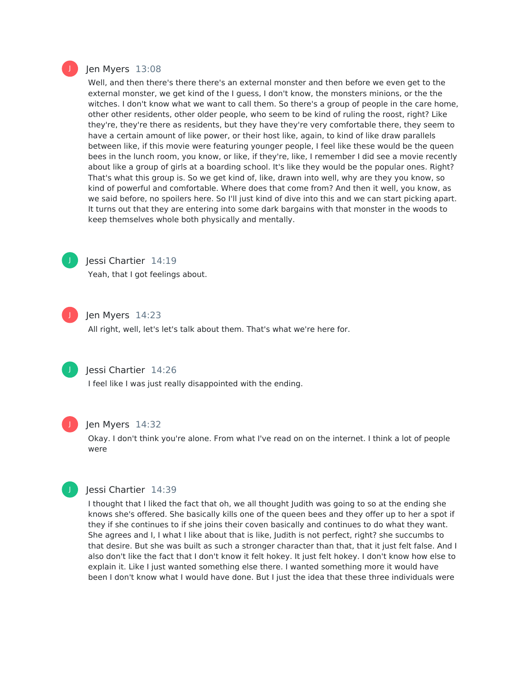

#### Jen Myers 13:08

Well, and then there's there there's an external monster and then before we even get to the external monster, we get kind of the I guess, I don't know, the monsters minions, or the the witches. I don't know what we want to call them. So there's a group of people in the care home, other other residents, other older people, who seem to be kind of ruling the roost, right? Like they're, they're there as residents, but they have they're very comfortable there, they seem to have a certain amount of like power, or their host like, again, to kind of like draw parallels between like, if this movie were featuring younger people, I feel like these would be the queen bees in the lunch room, you know, or like, if they're, like, I remember I did see a movie recently about like a group of girls at a boarding school. It's like they would be the popular ones. Right? That's what this group is. So we get kind of, like, drawn into well, why are they you know, so kind of powerful and comfortable. Where does that come from? And then it well, you know, as we said before, no spoilers here. So I'll just kind of dive into this and we can start picking apart. It turns out that they are entering into some dark bargains with that monster in the woods to keep themselves whole both physically and mentally.



#### Jessi Chartier 14:19

Yeah, that I got feelings about.



#### Jen Myers 14:23

All right, well, let's let's talk about them. That's what we're here for.



# Jessi Chartier 14:26

I feel like I was just really disappointed with the ending.



#### Jen Myers 14:32

Okay. I don't think you're alone. From what I've read on on the internet. I think a lot of people were



#### Jessi Chartier 14:39

I thought that I liked the fact that oh, we all thought Judith was going to so at the ending she knows she's offered. She basically kills one of the queen bees and they offer up to her a spot if they if she continues to if she joins their coven basically and continues to do what they want. She agrees and I, I what I like about that is like, Judith is not perfect, right? she succumbs to that desire. But she was built as such a stronger character than that, that it just felt false. And I also don't like the fact that I don't know it felt hokey. It just felt hokey. I don't know how else to explain it. Like I just wanted something else there. I wanted something more it would have been I don't know what I would have done. But I just the idea that these three individuals were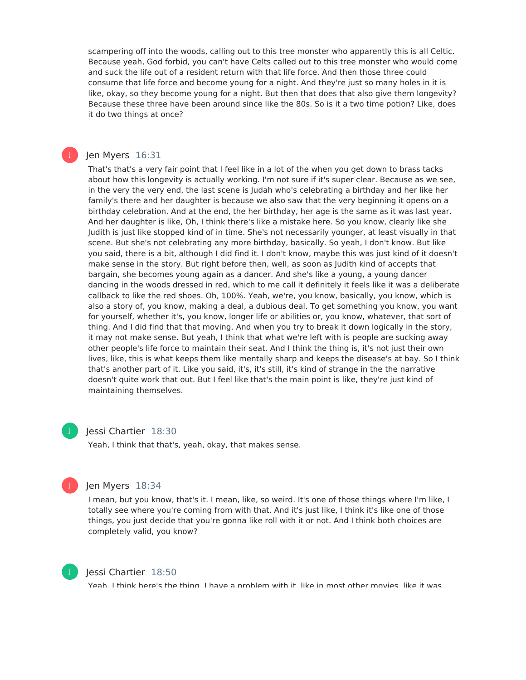scampering off into the woods, calling out to this tree monster who apparently this is all Celtic. Because yeah, God forbid, you can't have Celts called out to this tree monster who would come and suck the life out of a resident return with that life force. And then those three could consume that life force and become young for a night. And they're just so many holes in it is like, okay, so they become young for a night. But then that does that also give them longevity? Because these three have been around since like the 80s. So is it a two time potion? Like, does it do two things at once?

# Jen Myers 16:31

J

That's that's a very fair point that I feel like in a lot of the when you get down to brass tacks about how this longevity is actually working. I'm not sure if it's super clear. Because as we see, in the very the very end, the last scene is Judah who's celebrating a birthday and her like her family's there and her daughter is because we also saw that the very beginning it opens on a birthday celebration. And at the end, the her birthday, her age is the same as it was last year. And her daughter is like, Oh, I think there's like a mistake here. So you know, clearly like she Judith is just like stopped kind of in time. She's not necessarily younger, at least visually in that scene. But she's not celebrating any more birthday, basically. So yeah, I don't know. But like you said, there is a bit, although I did find it. I don't know, maybe this was just kind of it doesn't make sense in the story. But right before then, well, as soon as Judith kind of accepts that bargain, she becomes young again as a dancer. And she's like a young, a young dancer dancing in the woods dressed in red, which to me call it definitely it feels like it was a deliberate callback to like the red shoes. Oh, 100%. Yeah, we're, you know, basically, you know, which is also a story of, you know, making a deal, a dubious deal. To get something you know, you want for yourself, whether it's, you know, longer life or abilities or, you know, whatever, that sort of thing. And I did find that that moving. And when you try to break it down logically in the story, it may not make sense. But yeah, I think that what we're left with is people are sucking away other people's life force to maintain their seat. And I think the thing is, it's not just their own lives, like, this is what keeps them like mentally sharp and keeps the disease's at bay. So I think that's another part of it. Like you said, it's, it's still, it's kind of strange in the the narrative doesn't quite work that out. But I feel like that's the main point is like, they're just kind of maintaining themselves.



# Jessi Chartier 18:30

Yeah, I think that that's, yeah, okay, that makes sense.



# Jen Myers 18:34

I mean, but you know, that's it. I mean, like, so weird. It's one of those things where I'm like, I totally see where you're coming from with that. And it's just like, I think it's like one of those things, you just decide that you're gonna like roll with it or not. And I think both choices are completely valid, you know?



# Jessi Chartier 18:50

Yeah, I think here's the thing. I have a problem with it, like in most other movies, like it was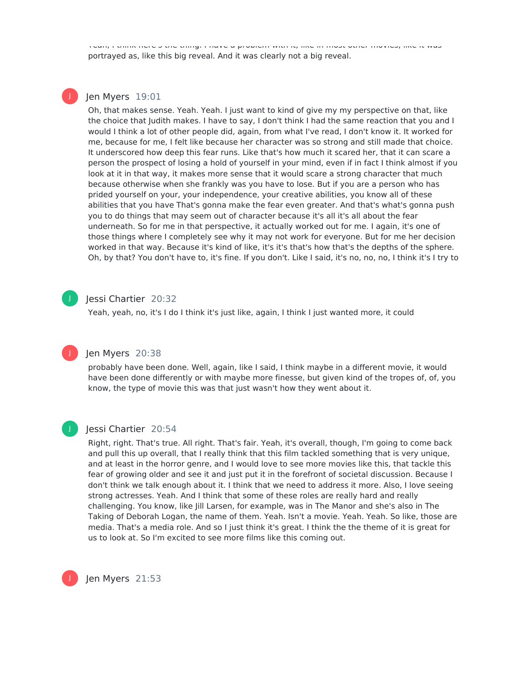Yeah, I think here's the thing. I have a problem with it, like in most other movies, like it was portrayed as, like this big reveal. And it was clearly not a big reveal.

# Jen Myers 19:01

J

Oh, that makes sense. Yeah. Yeah. I just want to kind of give my my perspective on that, like the choice that Judith makes. I have to say, I don't think I had the same reaction that you and I would I think a lot of other people did, again, from what I've read, I don't know it. It worked for me, because for me, I felt like because her character was so strong and still made that choice. It underscored how deep this fear runs. Like that's how much it scared her, that it can scare a person the prospect of losing a hold of yourself in your mind, even if in fact I think almost if you look at it in that way, it makes more sense that it would scare a strong character that much because otherwise when she frankly was you have to lose. But if you are a person who has prided yourself on your, your independence, your creative abilities, you know all of these abilities that you have That's gonna make the fear even greater. And that's what's gonna push you to do things that may seem out of character because it's all it's all about the fear underneath. So for me in that perspective, it actually worked out for me. I again, it's one of those things where I completely see why it may not work for everyone. But for me her decision worked in that way. Because it's kind of like, it's it's that's how that's the depths of the sphere. Oh, by that? You don't have to, it's fine. If you don't. Like I said, it's no, no, no, I think it's I try to

#### Jessi Chartier 20:32 J

Yeah, yeah, no, it's I do I think it's just like, again, I think I just wanted more, it could

# Jen Myers 20:38

probably have been done. Well, again, like I said, I think maybe in a different movie, it would have been done differently or with maybe more finesse, but given kind of the tropes of, of, you know, the type of movie this was that just wasn't how they went about it.



J

#### Jessi Chartier 20:54

Right, right. That's true. All right. That's fair. Yeah, it's overall, though, I'm going to come back and pull this up overall, that I really think that this film tackled something that is very unique, and at least in the horror genre, and I would love to see more movies like this, that tackle this fear of growing older and see it and just put it in the forefront of societal discussion. Because I don't think we talk enough about it. I think that we need to address it more. Also, I love seeing strong actresses. Yeah. And I think that some of these roles are really hard and really challenging. You know, like Jill Larsen, for example, was in The Manor and she's also in The Taking of Deborah Logan, the name of them. Yeah. Isn't a movie. Yeah. Yeah. So like, those are media. That's a media role. And so I just think it's great. I think the the theme of it is great for us to look at. So I'm excited to see more films like this coming out.

Jen Myers 21:53